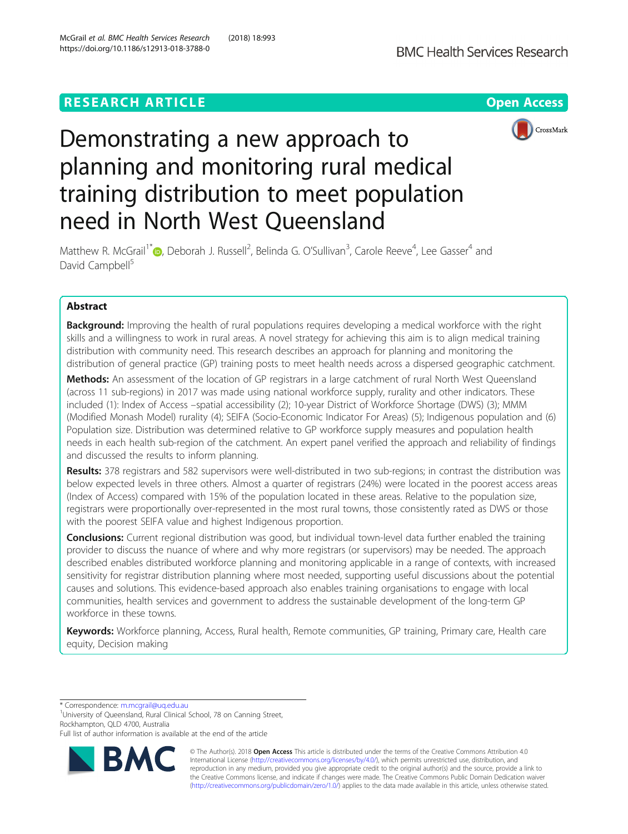# **RESEARCH ARTICLE Example 2014 12:30 The Contract of Contract ACCESS**





# Demonstrating a new approach to planning and monitoring rural medical training distribution to meet population need in North West Queensland

Matthew R. McGrail<sup>1\*</sup> <sub>D</sub>[,](http://orcid.org/0000-0002-6901-8845) Deborah J. Russell<sup>2</sup>, Belinda G. O'Sullivan<sup>3</sup>, Carole Reeve<sup>4</sup>, Lee Gasser<sup>4</sup> and David Campbell<sup>5</sup>

# Abstract

**Background:** Improving the health of rural populations requires developing a medical workforce with the right skills and a willingness to work in rural areas. A novel strategy for achieving this aim is to align medical training distribution with community need. This research describes an approach for planning and monitoring the distribution of general practice (GP) training posts to meet health needs across a dispersed geographic catchment.

Methods: An assessment of the location of GP registrars in a large catchment of rural North West Queensland (across 11 sub-regions) in 2017 was made using national workforce supply, rurality and other indicators. These included (1): Index of Access –spatial accessibility (2); 10-year District of Workforce Shortage (DWS) (3); MMM (Modified Monash Model) rurality (4); SEIFA (Socio-Economic Indicator For Areas) (5); Indigenous population and (6) Population size. Distribution was determined relative to GP workforce supply measures and population health needs in each health sub-region of the catchment. An expert panel verified the approach and reliability of findings and discussed the results to inform planning.

Results: 378 registrars and 582 supervisors were well-distributed in two sub-regions; in contrast the distribution was below expected levels in three others. Almost a quarter of registrars (24%) were located in the poorest access areas (Index of Access) compared with 15% of the population located in these areas. Relative to the population size, registrars were proportionally over-represented in the most rural towns, those consistently rated as DWS or those with the poorest SEIFA value and highest Indigenous proportion.

**Conclusions:** Current regional distribution was good, but individual town-level data further enabled the training provider to discuss the nuance of where and why more registrars (or supervisors) may be needed. The approach described enables distributed workforce planning and monitoring applicable in a range of contexts, with increased sensitivity for registrar distribution planning where most needed, supporting useful discussions about the potential causes and solutions. This evidence-based approach also enables training organisations to engage with local communities, health services and government to address the sustainable development of the long-term GP workforce in these towns.

Keywords: Workforce planning, Access, Rural health, Remote communities, GP training, Primary care, Health care equity, Decision making

\* Correspondence: [m.mcgrail@uq.edu.au](mailto:m.mcgrail@uq.edu.au) <sup>1</sup>

<sup>1</sup>University of Queensland, Rural Clinical School, 78 on Canning Street, Rockhampton, QLD 4700, Australia

Full list of author information is available at the end of the article



© The Author(s). 2018 Open Access This article is distributed under the terms of the Creative Commons Attribution 4.0 International License [\(http://creativecommons.org/licenses/by/4.0/](http://creativecommons.org/licenses/by/4.0/)), which permits unrestricted use, distribution, and reproduction in any medium, provided you give appropriate credit to the original author(s) and the source, provide a link to the Creative Commons license, and indicate if changes were made. The Creative Commons Public Domain Dedication waiver [\(http://creativecommons.org/publicdomain/zero/1.0/](http://creativecommons.org/publicdomain/zero/1.0/)) applies to the data made available in this article, unless otherwise stated.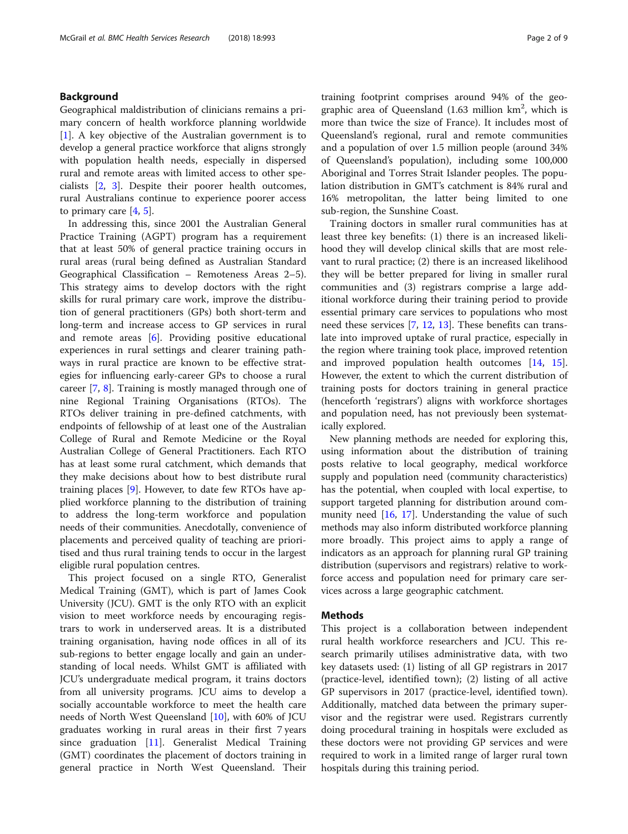## Background

Geographical maldistribution of clinicians remains a primary concern of health workforce planning worldwide [[1\]](#page-8-0). A key objective of the Australian government is to develop a general practice workforce that aligns strongly with population health needs, especially in dispersed rural and remote areas with limited access to other specialists [\[2](#page-8-0), [3](#page-8-0)]. Despite their poorer health outcomes, rural Australians continue to experience poorer access to primary care [[4,](#page-8-0) [5\]](#page-8-0).

In addressing this, since 2001 the Australian General Practice Training (AGPT) program has a requirement that at least 50% of general practice training occurs in rural areas (rural being defined as Australian Standard Geographical Classification – Remoteness Areas 2–5). This strategy aims to develop doctors with the right skills for rural primary care work, improve the distribution of general practitioners (GPs) both short-term and long-term and increase access to GP services in rural and remote areas  $[6]$  $[6]$ . Providing positive educational experiences in rural settings and clearer training pathways in rural practice are known to be effective strategies for influencing early-career GPs to choose a rural career [[7,](#page-8-0) [8\]](#page-8-0). Training is mostly managed through one of nine Regional Training Organisations (RTOs). The RTOs deliver training in pre-defined catchments, with endpoints of fellowship of at least one of the Australian College of Rural and Remote Medicine or the Royal Australian College of General Practitioners. Each RTO has at least some rural catchment, which demands that they make decisions about how to best distribute rural training places [\[9](#page-8-0)]. However, to date few RTOs have applied workforce planning to the distribution of training to address the long-term workforce and population needs of their communities. Anecdotally, convenience of placements and perceived quality of teaching are prioritised and thus rural training tends to occur in the largest eligible rural population centres.

This project focused on a single RTO, Generalist Medical Training (GMT), which is part of James Cook University (JCU). GMT is the only RTO with an explicit vision to meet workforce needs by encouraging registrars to work in underserved areas. It is a distributed training organisation, having node offices in all of its sub-regions to better engage locally and gain an understanding of local needs. Whilst GMT is affiliated with JCU's undergraduate medical program, it trains doctors from all university programs. JCU aims to develop a socially accountable workforce to meet the health care needs of North West Queensland [\[10](#page-8-0)], with 60% of JCU graduates working in rural areas in their first 7 years since graduation  $[11]$ . Generalist Medical Training (GMT) coordinates the placement of doctors training in general practice in North West Queensland. Their

training footprint comprises around 94% of the geographic area of Queensland (1.63 million km<sup>2</sup>, which is more than twice the size of France). It includes most of Queensland's regional, rural and remote communities and a population of over 1.5 million people (around 34% of Queensland's population), including some 100,000 Aboriginal and Torres Strait Islander peoples. The population distribution in GMT's catchment is 84% rural and 16% metropolitan, the latter being limited to one sub-region, the Sunshine Coast.

Training doctors in smaller rural communities has at least three key benefits: (1) there is an increased likelihood they will develop clinical skills that are most relevant to rural practice; (2) there is an increased likelihood they will be better prepared for living in smaller rural communities and (3) registrars comprise a large additional workforce during their training period to provide essential primary care services to populations who most need these services [\[7](#page-8-0), [12](#page-8-0), [13\]](#page-8-0). These benefits can translate into improved uptake of rural practice, especially in the region where training took place, improved retention and improved population health outcomes [[14](#page-8-0), [15](#page-8-0)]. However, the extent to which the current distribution of training posts for doctors training in general practice (henceforth 'registrars') aligns with workforce shortages and population need, has not previously been systematically explored.

New planning methods are needed for exploring this, using information about the distribution of training posts relative to local geography, medical workforce supply and population need (community characteristics) has the potential, when coupled with local expertise, to support targeted planning for distribution around community need [[16,](#page-8-0) [17\]](#page-8-0). Understanding the value of such methods may also inform distributed workforce planning more broadly. This project aims to apply a range of indicators as an approach for planning rural GP training distribution (supervisors and registrars) relative to workforce access and population need for primary care services across a large geographic catchment.

#### Methods

This project is a collaboration between independent rural health workforce researchers and JCU. This research primarily utilises administrative data, with two key datasets used: (1) listing of all GP registrars in 2017 (practice-level, identified town); (2) listing of all active GP supervisors in 2017 (practice-level, identified town). Additionally, matched data between the primary supervisor and the registrar were used. Registrars currently doing procedural training in hospitals were excluded as these doctors were not providing GP services and were required to work in a limited range of larger rural town hospitals during this training period.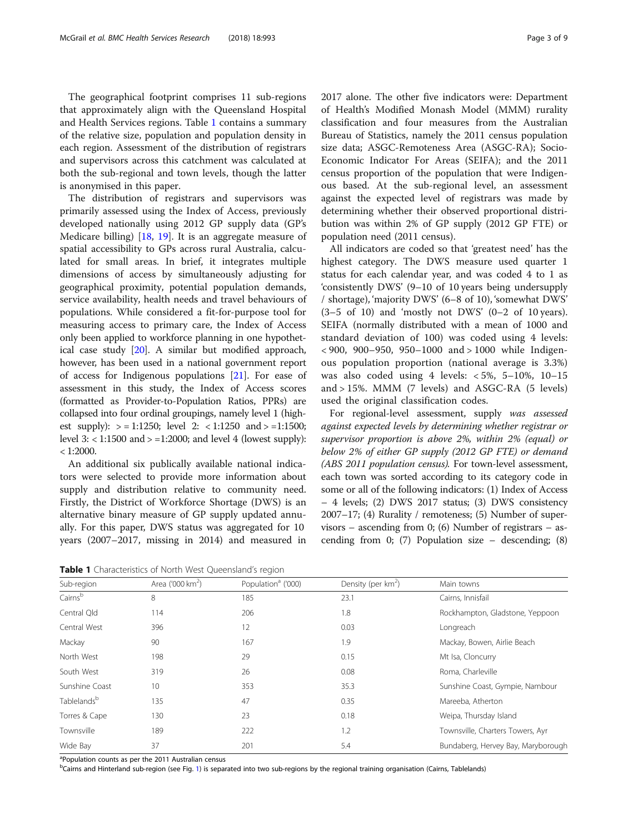The geographical footprint comprises 11 sub-regions that approximately align with the Queensland Hospital and Health Services regions. Table 1 contains a summary of the relative size, population and population density in each region. Assessment of the distribution of registrars and supervisors across this catchment was calculated at both the sub-regional and town levels, though the latter is anonymised in this paper.

The distribution of registrars and supervisors was primarily assessed using the Index of Access, previously developed nationally using 2012 GP supply data (GP's Medicare billing) [\[18,](#page-8-0) [19\]](#page-8-0). It is an aggregate measure of spatial accessibility to GPs across rural Australia, calculated for small areas. In brief, it integrates multiple dimensions of access by simultaneously adjusting for geographical proximity, potential population demands, service availability, health needs and travel behaviours of populations. While considered a fit-for-purpose tool for measuring access to primary care, the Index of Access only been applied to workforce planning in one hypothetical case study [\[20\]](#page-8-0). A similar but modified approach, however, has been used in a national government report of access for Indigenous populations [\[21](#page-8-0)]. For ease of assessment in this study, the Index of Access scores (formatted as Provider-to-Population Ratios, PPRs) are collapsed into four ordinal groupings, namely level 1 (highest supply):  $> = 1:1250$ ; level 2:  $< 1:1250$  and  $> = 1:1500$ ; level  $3:$  < 1:1500 and  $>$  =1:2000; and level 4 (lowest supply):  $< 1:2000.$ 

An additional six publically available national indicators were selected to provide more information about supply and distribution relative to community need. Firstly, the District of Workforce Shortage (DWS) is an alternative binary measure of GP supply updated annually. For this paper, DWS status was aggregated for 10 years (2007–2017, missing in 2014) and measured in 2017 alone. The other five indicators were: Department of Health's Modified Monash Model (MMM) rurality classification and four measures from the Australian Bureau of Statistics, namely the 2011 census population size data; ASGC-Remoteness Area (ASGC-RA); Socio-Economic Indicator For Areas (SEIFA); and the 2011 census proportion of the population that were Indigenous based. At the sub-regional level, an assessment against the expected level of registrars was made by determining whether their observed proportional distribution was within 2% of GP supply (2012 GP FTE) or population need (2011 census).

All indicators are coded so that 'greatest need' has the highest category. The DWS measure used quarter 1 status for each calendar year, and was coded 4 to 1 as 'consistently DWS' (9–10 of 10 years being undersupply / shortage), 'majority DWS' (6–8 of 10), 'somewhat DWS'  $(3-5 \text{ of } 10)$  and 'mostly not DWS'  $(0-2 \text{ of } 10 \text{ years}).$ SEIFA (normally distributed with a mean of 1000 and standard deviation of 100) was coded using 4 levels: < 900, 900–950, 950–1000 and > 1000 while Indigenous population proportion (national average is 3.3%) was also coded using 4 levels:  $< 5\%$ , 5-10%, 10-15 and > 15%. MMM (7 levels) and ASGC-RA (5 levels) used the original classification codes.

For regional-level assessment, supply was assessed against expected levels by determining whether registrar or supervisor proportion is above 2%, within 2% (equal) or below 2% of either GP supply (2012 GP FTE) or demand (ABS 2011 population census). For town-level assessment, each town was sorted according to its category code in some or all of the following indicators: (1) Index of Access – 4 levels; (2) DWS 2017 status; (3) DWS consistency 2007–17; (4) Rurality / remoteness; (5) Number of supervisors – ascending from 0; (6) Number of registrars – ascending from 0; (7) Population size  $-$  descending; (8)

| Sub-region              | Area ('000 km <sup>2</sup> ) | Population <sup>a</sup> ('000) | Density (per $km^2$ ) | Main towns                         |
|-------------------------|------------------------------|--------------------------------|-----------------------|------------------------------------|
| Cairnsb                 | 8                            | 185                            | 23.1                  | Cairns, Innisfail                  |
| Central Old             | 114                          | 206                            | 1.8                   | Rockhampton, Gladstone, Yeppoon    |
| Central West            | 396                          | 12                             | 0.03                  | Longreach                          |
| Mackay                  | 90                           | 167                            | 1.9                   | Mackay, Bowen, Airlie Beach        |
| North West              | 198                          | 29                             | 0.15                  | Mt Isa, Cloncurry                  |
| South West              | 319                          | 26                             | 0.08                  | Roma, Charleville                  |
| Sunshine Coast          | 10                           | 353                            | 35.3                  | Sunshine Coast, Gympie, Nambour    |
| Tablelands <sup>b</sup> | 135                          | 47                             | 0.35                  | Mareeba, Atherton                  |
| Torres & Cape           | 130                          | 23                             | 0.18                  | Weipa, Thursday Island             |
| Townsville              | 189                          | 222                            | 1.2                   | Townsville, Charters Towers, Ayr   |
| Wide Bay                | 37                           | 201                            | 5.4                   | Bundaberg, Hervey Bay, Maryborough |

<sup>a</sup>Population counts as per the 2011 Australian census

bCairns and Hinterland sub-region (see Fig. [1](#page-4-0)) is separated into two sub-regions by the regional training organisation (Cairns, Tablelands)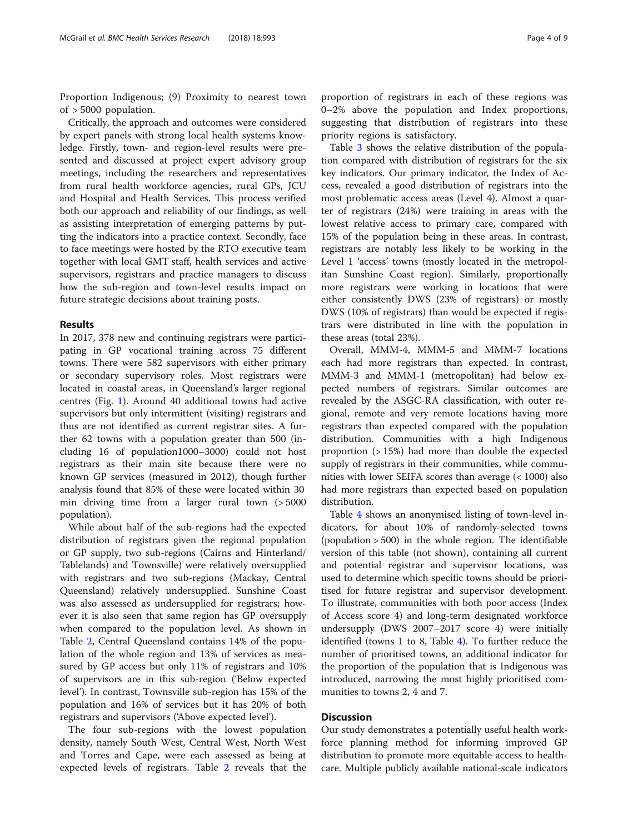Proportion Indigenous; (9) Proximity to nearest town of > 5000 population.

Critically, the approach and outcomes were considered by expert panels with strong local health systems knowledge. Firstly, town- and region-level results were presented and discussed at project expert advisory group meetings, including the researchers and representatives from rural health workforce agencies, rural GPs, JCU and Hospital and Health Services. This process verified both our approach and reliability of our findings, as well as assisting interpretation of emerging patterns by putting the indicators into a practice context. Secondly, face to face meetings were hosted by the RTO executive team together with local GMT staff, health services and active supervisors, registrars and practice managers to discuss how the sub-region and town-level results impact on future strategic decisions about training posts.

#### Results

In 2017, 378 new and continuing registrars were participating in GP vocational training across 75 different towns. There were 582 supervisors with either primary or secondary supervisory roles. Most registrars were located in coastal areas, in Queensland's larger regional centres (Fig. [1\)](#page-4-0). Around 40 additional towns had active supervisors but only intermittent (visiting) registrars and thus are not identified as current registrar sites. A further 62 towns with a population greater than 500 (including 16 of population1000–3000) could not host registrars as their main site because there were no known GP services (measured in 2012), though further analysis found that 85% of these were located within 30 min driving time from a larger rural town (> 5000 population).

While about half of the sub-regions had the expected distribution of registrars given the regional population or GP supply, two sub-regions (Cairns and Hinterland/ Tablelands) and Townsville) were relatively oversupplied with registrars and two sub-regions (Mackay, Central Queensland) relatively undersupplied. Sunshine Coast was also assessed as undersupplied for registrars; however it is also seen that same region has GP oversupply when compared to the population level. As shown in Table [2](#page-5-0), Central Queensland contains 14% of the population of the whole region and 13% of services as measured by GP access but only 11% of registrars and 10% of supervisors are in this sub-region ('Below expected level'). In contrast, Townsville sub-region has 15% of the population and 16% of services but it has 20% of both registrars and supervisors ('Above expected level').

The four sub-regions with the lowest population density, namely South West, Central West, North West and Torres and Cape, were each assessed as being at expected levels of registrars. Table [2](#page-5-0) reveals that the proportion of registrars in each of these regions was 0–2% above the population and Index proportions, suggesting that distribution of registrars into these priority regions is satisfactory.

Table [3](#page-6-0) shows the relative distribution of the population compared with distribution of registrars for the six key indicators. Our primary indicator, the Index of Access, revealed a good distribution of registrars into the most problematic access areas (Level 4). Almost a quarter of registrars (24%) were training in areas with the lowest relative access to primary care, compared with 15% of the population being in these areas. In contrast, registrars are notably less likely to be working in the Level 1 'access' towns (mostly located in the metropolitan Sunshine Coast region). Similarly, proportionally more registrars were working in locations that were either consistently DWS (23% of registrars) or mostly DWS (10% of registrars) than would be expected if registrars were distributed in line with the population in these areas (total 23%).

Overall, MMM-4, MMM-5 and MMM-7 locations each had more registrars than expected. In contrast, MMM-3 and MMM-1 (metropolitan) had below expected numbers of registrars. Similar outcomes are revealed by the ASGC-RA classification, with outer regional, remote and very remote locations having more registrars than expected compared with the population distribution. Communities with a high Indigenous proportion (> 15%) had more than double the expected supply of registrars in their communities, while communities with lower SEIFA scores than average (< 1000) also had more registrars than expected based on population distribution.

Table [4](#page-7-0) shows an anonymised listing of town-level indicators, for about 10% of randomly-selected towns (population > 500) in the whole region. The identifiable version of this table (not shown), containing all current and potential registrar and supervisor locations, was used to determine which specific towns should be prioritised for future registrar and supervisor development. To illustrate, communities with both poor access (Index of Access score 4) and long-term designated workforce undersupply (DWS 2007–2017 score 4) were initially identified (towns 1 to 8, Table [4\)](#page-7-0). To further reduce the number of prioritised towns, an additional indicator for the proportion of the population that is Indigenous was introduced, narrowing the most highly prioritised communities to towns 2, 4 and 7.

### **Discussion**

Our study demonstrates a potentially useful health workforce planning method for informing improved GP distribution to promote more equitable access to healthcare. Multiple publicly available national-scale indicators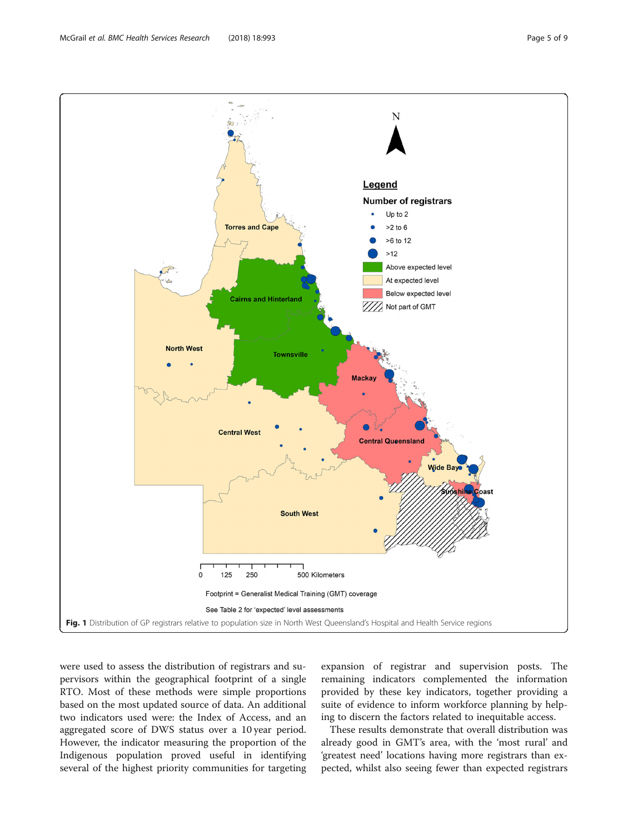<span id="page-4-0"></span>McGrail et al. BMC Health Services Research (2018) 18:993 Page 5 of 9



were used to assess the distribution of registrars and supervisors within the geographical footprint of a single RTO. Most of these methods were simple proportions based on the most updated source of data. An additional two indicators used were: the Index of Access, and an aggregated score of DWS status over a 10 year period. However, the indicator measuring the proportion of the Indigenous population proved useful in identifying several of the highest priority communities for targeting

expansion of registrar and supervision posts. The remaining indicators complemented the information provided by these key indicators, together providing a suite of evidence to inform workforce planning by helping to discern the factors related to inequitable access.

These results demonstrate that overall distribution was already good in GMT's area, with the 'most rural' and 'greatest need' locations having more registrars than expected, whilst also seeing fewer than expected registrars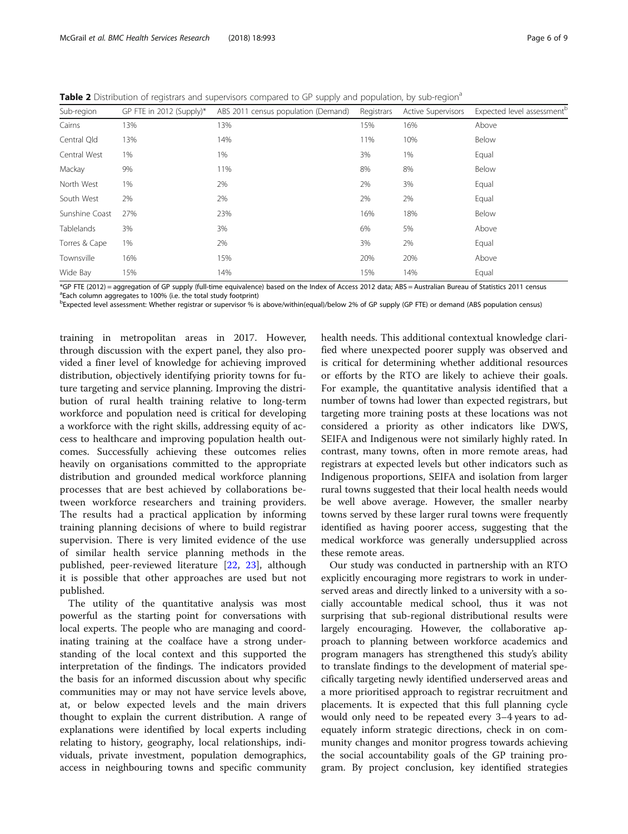<span id="page-5-0"></span>**Table 2** Distribution of registrars and supervisors compared to GP supply and population, by sub-region<sup>a</sup>

| Sub-region     | GP FTE in 2012 (Supply)* | ABS 2011 census population (Demand) | Registrars | <b>Active Supervisors</b> | Expected level assessment <sup>b</sup> |
|----------------|--------------------------|-------------------------------------|------------|---------------------------|----------------------------------------|
| Cairns         | 13%                      | 13%                                 | 15%        | 16%                       | Above                                  |
| Central Old    | 13%                      | 14%                                 | 11%        | 10%                       | Below                                  |
| Central West   | 1%                       | 1%                                  | 3%         | 1%                        | Equal                                  |
| Mackay         | 9%                       | 11%                                 | 8%         | 8%                        | Below                                  |
| North West     | 1%                       | 2%                                  | 2%         | 3%                        | Equal                                  |
| South West     | 2%                       | 2%                                  | 2%         | 2%                        | Equal                                  |
| Sunshine Coast | 27%                      | 23%                                 | 16%        | 18%                       | Below                                  |
| Tablelands     | 3%                       | 3%                                  | 6%         | 5%                        | Above                                  |
| Torres & Cape  | 1%                       | 2%                                  | 3%         | 2%                        | Equal                                  |
| Townsville     | 16%                      | 15%                                 | 20%        | 20%                       | Above                                  |
| Wide Bay       | 15%                      | 14%                                 | 15%        | 14%                       | Equal                                  |

\*GP FTE (2012) = aggregation of GP supply (full-time equivalence) based on the Index of Access 2012 data; ABS = Australian Bureau of Statistics 2011 census a Each column aggregates to 100% (i.e. the total study footprint)

bExpected level assessment: Whether registrar or supervisor % is above/within(equal)/below 2% of GP supply (GP FTE) or demand (ABS population census)

training in metropolitan areas in 2017. However, through discussion with the expert panel, they also provided a finer level of knowledge for achieving improved distribution, objectively identifying priority towns for future targeting and service planning. Improving the distribution of rural health training relative to long-term workforce and population need is critical for developing a workforce with the right skills, addressing equity of access to healthcare and improving population health outcomes. Successfully achieving these outcomes relies heavily on organisations committed to the appropriate distribution and grounded medical workforce planning processes that are best achieved by collaborations between workforce researchers and training providers. The results had a practical application by informing training planning decisions of where to build registrar supervision. There is very limited evidence of the use of similar health service planning methods in the published, peer-reviewed literature [\[22](#page-8-0), [23](#page-8-0)], although it is possible that other approaches are used but not published.

The utility of the quantitative analysis was most powerful as the starting point for conversations with local experts. The people who are managing and coordinating training at the coalface have a strong understanding of the local context and this supported the interpretation of the findings. The indicators provided the basis for an informed discussion about why specific communities may or may not have service levels above, at, or below expected levels and the main drivers thought to explain the current distribution. A range of explanations were identified by local experts including relating to history, geography, local relationships, individuals, private investment, population demographics, access in neighbouring towns and specific community health needs. This additional contextual knowledge clarified where unexpected poorer supply was observed and is critical for determining whether additional resources or efforts by the RTO are likely to achieve their goals. For example, the quantitative analysis identified that a number of towns had lower than expected registrars, but targeting more training posts at these locations was not considered a priority as other indicators like DWS, SEIFA and Indigenous were not similarly highly rated. In contrast, many towns, often in more remote areas, had registrars at expected levels but other indicators such as Indigenous proportions, SEIFA and isolation from larger rural towns suggested that their local health needs would be well above average. However, the smaller nearby towns served by these larger rural towns were frequently identified as having poorer access, suggesting that the medical workforce was generally undersupplied across these remote areas.

Our study was conducted in partnership with an RTO explicitly encouraging more registrars to work in underserved areas and directly linked to a university with a socially accountable medical school, thus it was not surprising that sub-regional distributional results were largely encouraging. However, the collaborative approach to planning between workforce academics and program managers has strengthened this study's ability to translate findings to the development of material specifically targeting newly identified underserved areas and a more prioritised approach to registrar recruitment and placements. It is expected that this full planning cycle would only need to be repeated every 3–4 years to adequately inform strategic directions, check in on community changes and monitor progress towards achieving the social accountability goals of the GP training program. By project conclusion, key identified strategies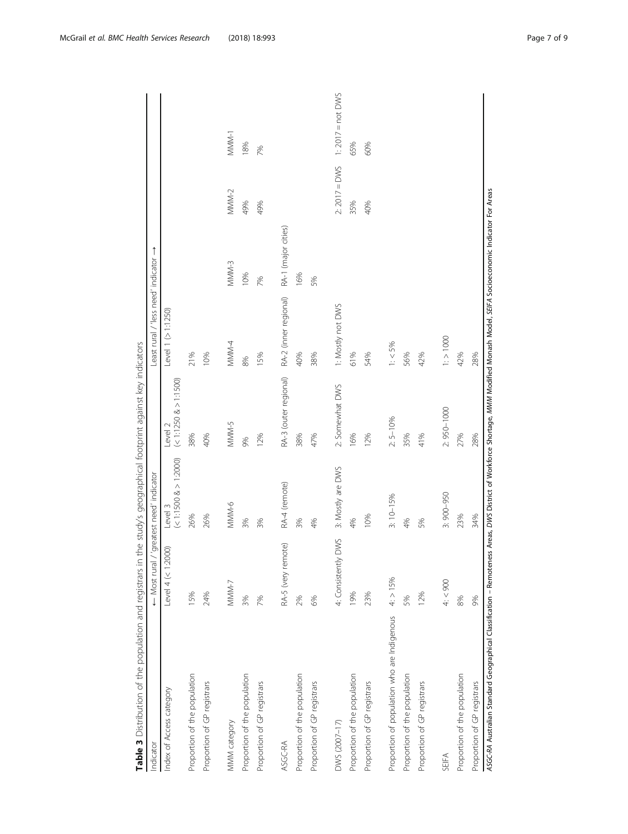<span id="page-6-0"></span>

| Table 3 Distribution of the population and registrars in the study's geographical footprint against key indicators                                                                 |                     |                                     |                                     |                                        |                     |       |                                     |
|------------------------------------------------------------------------------------------------------------------------------------------------------------------------------------|---------------------|-------------------------------------|-------------------------------------|----------------------------------------|---------------------|-------|-------------------------------------|
| Indicator                                                                                                                                                                          | - Most rural        | / 'greatest need' indicator         |                                     | Least rural / 'less need' indicator -> |                     |       |                                     |
| Index of Access category                                                                                                                                                           | Level 4 (< 1:2000)  | $($ < 1:1500 & > 1:2000)<br>Level 3 | $($ < 1:1250 & > 1:1500)<br>Level 2 | Level 1 (> 1:1250)                     |                     |       |                                     |
| Proportion of the population                                                                                                                                                       | 15%                 | 26%                                 | 38%                                 | 21%                                    |                     |       |                                     |
| Proportion of GP registrars                                                                                                                                                        | 24%                 | 26%                                 | 40%                                 | 10%                                    |                     |       |                                     |
| MMM category                                                                                                                                                                       | MMM-7               | MMM-6                               | MMM-5                               | MMM-4                                  | $MMM-3$             | MMM-2 | $M/MM-1$                            |
| Proportion of the population                                                                                                                                                       | 3%                  | 3%                                  | 9%                                  | 8%                                     | 10%                 | 49%   | 18%                                 |
| Proportion of GP registrars                                                                                                                                                        | 7%                  | 3%                                  | 12%                                 | 15%                                    | 7%                  | 49%   | 7%                                  |
| ASGC-RA                                                                                                                                                                            | RA-5 (very remote)  | RA-4 (remote)                       | RA-3 (outer regional)               | RA-2 (inner regional)                  | RA-1 (major cities) |       |                                     |
| Proportion of the population                                                                                                                                                       | 2%                  | 3%                                  | 38%                                 | 40%                                    | 16%                 |       |                                     |
| Proportion of GP registrars                                                                                                                                                        | 6%                  | 4%                                  | 47%                                 | 38%                                    | 5%                  |       |                                     |
| DWS (2007-17)                                                                                                                                                                      | 4: Consistently DWS | 3: Mostly are DWS                   | 2: Somewhat DWS                     | 1: Mostly not DWS                      |                     |       | $2: 2017 = DWS$ 1: $2017 = not$ DWS |
| Proportion of the population                                                                                                                                                       | 19%                 | 4%                                  | 16%                                 | 61%                                    |                     | 35%   | 65%                                 |
| Proportion of GP registrars                                                                                                                                                        | 23%                 | 10%                                 | 12%                                 | 54%                                    |                     | 40%   | 60%                                 |
| Proportion of population who are Indigenous                                                                                                                                        | $4: > 15\%$         | $3:10 - 15%$                        | $2: 5 - 10%$                        | $1: < 5\%$                             |                     |       |                                     |
| Proportion of the population                                                                                                                                                       | 5%                  | 4%                                  | 35%                                 | 56%                                    |                     |       |                                     |
| Proportion of GP registrars                                                                                                                                                        | 12%                 | 5%                                  | 41%                                 | 42%                                    |                     |       |                                     |
| SEIFA                                                                                                                                                                              | 4: < 900            | 3: 900-950                          | 2: 950-1000                         | $1:$ > 1000                            |                     |       |                                     |
| Proportion of the population                                                                                                                                                       | 8%                  | 23%                                 | 27%                                 | 42%                                    |                     |       |                                     |
| Proportion of GP registrars                                                                                                                                                        | 9%                  | 34%                                 | 28%                                 | 28%                                    |                     |       |                                     |
| ASGC-RA Australian Standard Geographical Classification - Remoteness Areas, DWS District of Workforce Shortage, MMM Modified Monash Model, SEIFA Socioeconomic Indicator For Areas |                     |                                     |                                     |                                        |                     |       |                                     |

Table 3 Distribution of the population and registrars in the study's geographical footprint against key indicators  $\frac{1}{7}$  $\mathbb{S}$  $\frac{1}{2}$ Ë  $\frac{1}{2}$  $+2$ ्रं  $\frac{1}{2}$  $f + h$ تي<br>ب Ĉ  $\sqrt{2}$ É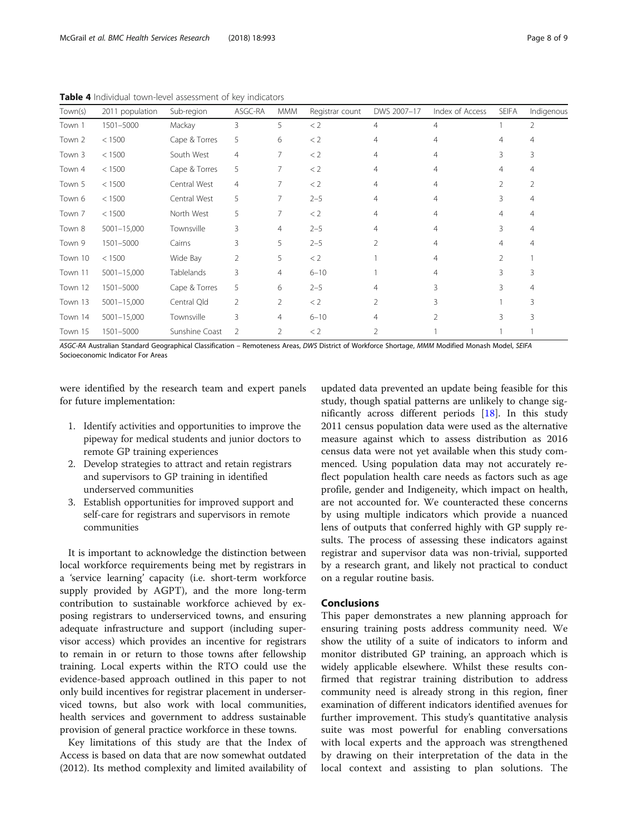| Town(s) | 2011 population | Sub-region     | ASGC-RA | <b>MMM</b>     | Registrar count | DWS 2007-17    | Index of Access | <b>SEIFA</b> | Indigenous     |
|---------|-----------------|----------------|---------|----------------|-----------------|----------------|-----------------|--------------|----------------|
| Town 1  | 1501-5000       | Mackay         | 3       | 5              | < 2             | $\overline{4}$ | 4               |              | 2              |
| Town 2  | < 1500          | Cape & Torres  | 5       | 6              | < 2             | $\overline{4}$ | $\overline{4}$  | 4            | $\overline{4}$ |
| Town 3  | < 1500          | South West     | 4       | 7              | < 2             | $\overline{4}$ | $\overline{4}$  | 3            | 3              |
| Town 4  | < 1500          | Cape & Torres  | 5       | 7              | < 2             | $\overline{4}$ | 4               | 4            | $\overline{4}$ |
| Town 5  | < 1500          | Central West   | 4       | 7              | < 2             | $\overline{4}$ | $\overline{4}$  | 2            | $\overline{2}$ |
| Town 6  | < 1500          | Central West   | 5       | 7              | $2 - 5$         | $\overline{4}$ | $\overline{4}$  | 3            | $\overline{4}$ |
| Town 7  | < 1500          | North West     | 5       | 7              | < 2             | 4              | 4               | 4            | $\overline{4}$ |
| Town 8  | $5001 - 15,000$ | Townsville     | 3       | $\overline{4}$ | $2 - 5$         | $\overline{4}$ | $\overline{4}$  | 3            | $\overline{4}$ |
| Town 9  | 1501-5000       | Cairns         | 3       | 5              | $2 - 5$         | $\overline{2}$ | $\overline{4}$  | 4            | $\overline{4}$ |
| Town 10 | < 1500          | Wide Bay       | 2       | 5              | < 2             |                | $\overline{4}$  | 2            |                |
| Town 11 | 5001-15,000     | Tablelands     | 3       | $\overline{4}$ | $6 - 10$        |                | $\overline{4}$  | 3            | 3              |
| Town 12 | 1501-5000       | Cape & Torres  | 5       | 6              | $2 - 5$         | 4              | 3               | 3            | 4              |
| Town 13 | $5001 - 15,000$ | Central Qld    | 2       | 2              | < 2             | 2              | 3               |              | 3              |
| Town 14 | $5001 - 15,000$ | Townsville     | 3       | $\overline{4}$ | $6 - 10$        | $\overline{4}$ | $\mathfrak{D}$  | 3            | 3              |
| Town 15 | 1501-5000       | Sunshine Coast | 2       | $\overline{2}$ | < 2             |                |                 |              |                |

<span id="page-7-0"></span>Table 4 Individual town-level assessment of key indicators

ASGC-RA Australian Standard Geographical Classification – Remoteness Areas, DWS District of Workforce Shortage, MMM Modified Monash Model, SEIFA Socioeconomic Indicator For Areas

were identified by the research team and expert panels for future implementation:

- 1. Identify activities and opportunities to improve the pipeway for medical students and junior doctors to remote GP training experiences
- 2. Develop strategies to attract and retain registrars and supervisors to GP training in identified underserved communities
- 3. Establish opportunities for improved support and self-care for registrars and supervisors in remote communities

It is important to acknowledge the distinction between local workforce requirements being met by registrars in a 'service learning' capacity (i.e. short-term workforce supply provided by AGPT), and the more long-term contribution to sustainable workforce achieved by exposing registrars to underserviced towns, and ensuring adequate infrastructure and support (including supervisor access) which provides an incentive for registrars to remain in or return to those towns after fellowship training. Local experts within the RTO could use the evidence-based approach outlined in this paper to not only build incentives for registrar placement in underserviced towns, but also work with local communities, health services and government to address sustainable provision of general practice workforce in these towns.

Key limitations of this study are that the Index of Access is based on data that are now somewhat outdated (2012). Its method complexity and limited availability of

updated data prevented an update being feasible for this study, though spatial patterns are unlikely to change significantly across different periods [[18\]](#page-8-0). In this study 2011 census population data were used as the alternative measure against which to assess distribution as 2016 census data were not yet available when this study commenced. Using population data may not accurately reflect population health care needs as factors such as age profile, gender and Indigeneity, which impact on health, are not accounted for. We counteracted these concerns by using multiple indicators which provide a nuanced lens of outputs that conferred highly with GP supply results. The process of assessing these indicators against registrar and supervisor data was non-trivial, supported by a research grant, and likely not practical to conduct on a regular routine basis.

## **Conclusions**

This paper demonstrates a new planning approach for ensuring training posts address community need. We show the utility of a suite of indicators to inform and monitor distributed GP training, an approach which is widely applicable elsewhere. Whilst these results confirmed that registrar training distribution to address community need is already strong in this region, finer examination of different indicators identified avenues for further improvement. This study's quantitative analysis suite was most powerful for enabling conversations with local experts and the approach was strengthened by drawing on their interpretation of the data in the local context and assisting to plan solutions. The